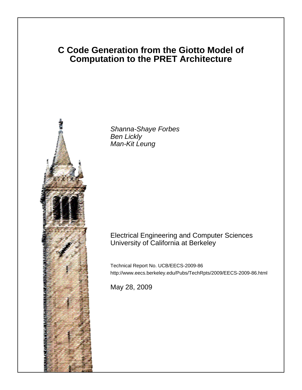# **C Code Generation from the Giotto Model of Computation to the PRET Architecture**



Shanna-Shaye Forbes Ben Lickly Man-Kit Leung

# Electrical Engineering and Computer Sciences University of California at Berkeley

Technical Report No. UCB/EECS-2009-86 http://www.eecs.berkeley.edu/Pubs/TechRpts/2009/EECS-2009-86.html

May 28, 2009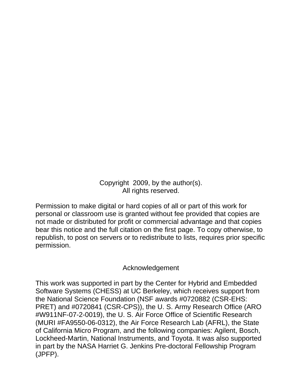Copyright 2009, by the author(s). All rights reserved.

Permission to make digital or hard copies of all or part of this work for personal or classroom use is granted without fee provided that copies are not made or distributed for profit or commercial advantage and that copies bear this notice and the full citation on the first page. To copy otherwise, to republish, to post on servers or to redistribute to lists, requires prior specific permission.

# Acknowledgement

This work was supported in part by the Center for Hybrid and Embedded Software Systems (CHESS) at UC Berkeley, which receives support from the National Science Foundation (NSF awards #0720882 (CSR-EHS: PRET) and #0720841 (CSR-CPS)), the U. S. Army Research Office (ARO #W911NF-07-2-0019), the U. S. Air Force Office of Scientific Research (MURI #FA9550-06-0312), the Air Force Research Lab (AFRL), the State of California Micro Program, and the following companies: Agilent, Bosch, Lockheed-Martin, National Instruments, and Toyota. It was also supported in part by the NASA Harriet G. Jenkins Pre-doctoral Fellowship Program (JPFP).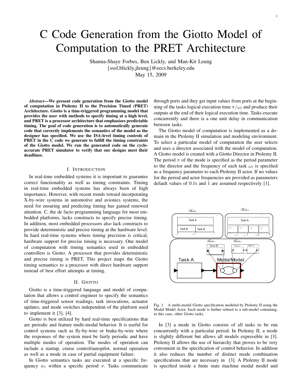# C Code Generation from the Giotto Model of Computation to the PRET Architecture

Shanna-Shaye Forbes, Ben Lickly, and Man-Kit Leung {sssf,blickly,jleung}@eecs.berkeley.edu May 15, 2009

*Abstract*—We present code generation from the Giotto model of computation in Ptolemy II to the Precision Timed (PRET) Architecture. Giotto is a time-triggered programming model that provides the user with methods to specify timing at a high level, and PRET is a processor architecture that emphasizes predictable timing. The goal of code generation is to automatically generate code that correctly implements the semantics of the model as the designer has specified. We use the ISA-level timing controls of PRET in the C code we generate to fulfill the timing constraints of the Giotto model. We run the generated code on the cycleaccurate PRET simulator to verify that our designs meet their deadlines.

#### I. INTRODUCTION

In real-time embedded systems it is important to guarantee correct functionality as well as timing constraints. Timing in real-time embedded systems has always been of high importance. However, with recent trends toward incorporating X-by-wire systems in automotive and avionics systems, the need for ensuring and predicting timing has gained renewed attention. C, the de facto programming language for most embedded platforms, lacks constructs to specify precise timing. In addition, most embedded processors also lack constructs to provide deterministic and precise timing at the hardware level. In hard real-time systems where timing precision is critical, hardware support for precise timing is necessary. One model of computation with timing semantics used in embedded controllers is Giotto. A processor that provides deterministic and precise timing is PRET. This project maps the Giotto timing semantics to a processor with direct hardware support instead of best effort attempts at timing.

## II. GIOTTO

Giotto is a time-triggered language and model of computation that allows a control engineer to specify the semantics of time-triggered sensor readings, task invocations, actuator updates, and mode switches independent of the platform used to implement it [3], [4].

Giotto is best utilized by hard real-time specifications that are periodic and feature multi-modal behavior. It is useful for control systems such as fly-by-wire or brake-by-wire where the responses of the system must be fairly periodic and have multiple modes of operation. The modes of operation can include a startup, cruise control/autopilot, normal operation as well as a mode in case of partial equipment failure.

In Giotto semantics tasks are executed at a specific frequency  $w_t$  within a specific period  $\pi$ . Tasks communicate through ports and they get input values from ports at the beginning of the tasks logical execution time  $\pi/\omega_t$  and produce their outputs at the end of their logical execution time. Tasks execute concurrently and there is a one unit delay in communication between tasks.

The Giotto model of computation is implemented as a domain in the Ptolemy II simulation and modeling environment. To select a particular model of computation the user selects and uses a director associated with the model of computation. A Giotto model is created with a Giotto Director in Ptolemy II. The period  $\pi$  of the mode is specified as the period parameter to the director and the frequency of each task  $\omega_t$  is specified as a frequency parameter to each Ptolemy II actor. If no values for the period and actor frequencies are provided as parameters default values of 0.1s and 1 are assumed respectively [1].



Fig. 1. A multi-modal Giotto specification modeled by Ptolemy II using the Modal Model Actor. Each mode is further refined to a sub-model containing, in this case, other Giotto tasks.

In [3] a mode in Giotto consists of all tasks to be run concurrently with a particular period. In Ptolemy II, a mode is slightly different but allows all models expressible in [3]. Ptolemy II allows the use of hierarchy that proves to be very convenient in the specification of control behavior. In addition it also reduces the number of distinct mode combination specifications that are necessary in [3]. A Ptolemy II mode is specified inside a finite state machine modal model and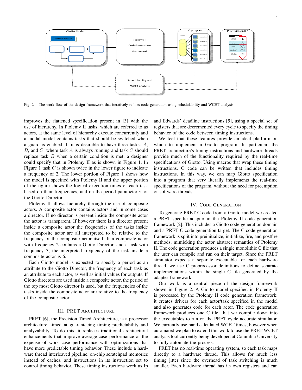

Fig. 2. The work flow of the design framework that iteratively refines code generation using schedulability and WCET analysis

improves the flattened specification present in [3] with the use of hierarchy. In Ptolemy II tasks, which are referred to as actors, at the same level of hierarchy execute concurrently and a modal model contains tasks that should be switched when a guard is enabled. If it is desirable to have three tasks: A, B, and C, where task A is always running and task C should replace task  $B$  when a certain condition is met, a designer could specify that in Ptolemy II as is shown in Figure 1. In Figure 1 task  $C$  is shown twice in the lower figure to indicate a frequency of 2. The lower portion of Figure 1 shows how the model is specified with Ptolemy II and the upper portion of the figure shows the logical execution times of each task based on their frequencies, and on the period parameter  $\pi$  of the Giotto Director.

Ptolemy II allows hierarchy through the use of composite actors. A composite actor contains actors and in some cases a director. If no director is present inside the composite actor the actor is transparent. If however there is a director present inside a composite actor the frequencies of the tasks inside the composite actor are all interpreted to be relative to the frequency of the composite actor itself. If a composite actor with frequency 2 contains a Giotto Director, and a task with frequency 3, the interpreted frequency of the task inside a composite actor is 6.

Each Giotto model is expected to specify a period as an attribute to the Giotto Director, the frequency of each task as an attribute to each actor, as well as initial values for outputs. If Giotto directors are used inside a composite actor, the period of the top most Giotto director is used, but the frequencies of the tasks inside the composite actor are relative to the frequency of the composite actor.

## III. PRET ARCHITECTURE

PRET [6], the Precision Timed Architecture, is a processor architecture aimed at guaranteeing timing predictability and analyzability. To do this, it replaces traditional architectural enhancements that improve average-case performance at the expense of worst-case performance with optimizations that have more predictable timing behavior. These include a hardware thread interleaved pipeline, on-chip scratchpad memories instead of caches, and instructions in its instruction set to control timing behavior. These timing instructions work as Ip

and Edwards' deadline instructions [5], using a special set of registers that are decremented every cycle to specify the timing behavior of the code between timing instructions.

We feel that these features provide an ideal platform on which to implement a Giotto program. In particular, the PRET architecture's timing instructions and hardware threads provide much of the functionality required by the real-time specifications of Giotto. Using macros that wrap these timing instructions, C code can be written that includes timing instructions. In this way, we can map Giotto specification into a program that very literally implements the real-time specifications of the program, without the need for preemption or software threads.

## IV. CODE GENERATION

To generate PRET C code from a Giotto model we created a PRET specific adapter in the Ptolemy II code generation framework [2]. This includes a Giotto code generation domain and a PRET C code generation target. The C code generation framework is split into preinitialize, initialize, fire, and postfire methods, mimicking the actor abstract semantics of Ptolemy II. The code generation produces a single monolithic C file that the user can compile and run on their target. Since the PRET simulator expects a separate executable for each hardware thread, we use C preprocessor definitions to define separate implementations within the single C file generated by the adapter framework.

Our work is a central piece of the design framework shown in Figure 2. A Giotto model specified in Ptolemy II is processed by the Ptolemy II code generation framework; it creates drivers for each actor/task specified in the model and also generates code for each actor. The code generation framework produces one C file, that we compile down into the executables to run on the PRET cycle accurate simulator. We currently use hand calculated WCET times, however when automated we plan to extend this work to use the PRET WCET analysis tool currently being developed at Columbia University to fully automate the process.

PRET has no real-time operating system, so each task maps directly to a hardware thread. This allows for much less timing jitter since the overhead of task switching is much smaller. Each hardware thread has its own registers and can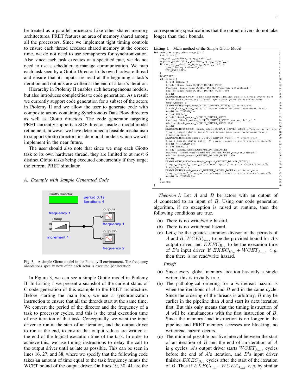be treated as a parallel processor. Like other shared memory architectures, PRET features an area of memory shared among all the processors. Since we implement tight timing controls to ensure each thread accesses shared memory at the correct time, we do not need to use semaphores for synchronization. Also since each task executes at a specified rate, we do not need to use a scheduler to manage communication. We map each task seen by a Giotto Director to its own hardware thread and ensure that its inputs are read at the beginning a task's iteration and outputs are written at the end of a task's iteration.

Hierarchy in Ptolemy II enables rich heterogeneous models, but also introduces complexities to code generation. As a result we currently support code generation for a subset of the actors in Ptolemy II and we allow the user to generate code with composite actors containing Synchronous Data Flow directors as well as Giotto directors. The code generator targeting PRET currently supports a SDF director inside a modal model refinement, however we have determined a feasible mechanism to support Giotto directors inside modal models which we will implement in the near future.

The user should also note that since we map each Giotto task to its own hardware thread, they are limited to at most 6 distinct Giotto tasks being executed concurrently if they target the current PRET simulator.

### *A. Example with Sample Generated Code*



Fig. 3. A simple Giotto model in the Ptolemy II environment. The frequency annotations specify how often each actor is executed per iteration.

In Figure 3, we can see a simple Giotto model in Ptolemy II. In Listing 1 we present a snapshot of the current status of C code generation of this example to the PRET architecture. Before starting the main loop, we use a synchronization instruction to ensure that all the threads start at the same time. We convert the period of the director and the frequency of a task to processor cycles, and this is the total execution time of one iteration of that task. Conceptually, we want the input driver to run at the start of an iteration, and the output driver to run at the end, to ensure that output values are written at the end of the logical execution time of the task. In order to achieve this, we use timing instructions to delay the call to the output driver until as late as possible. This can be seen in lines 16, 27, and 38, where we specify that the following code takes an amount of time equal to the task frequency minus the WCET bound of the output driver. On lines 19, 30, 41 are the

corresponding specifications that the output drivers do not take longer than their bounds.

# Listing 1. Main method of the Simple Giotto Model

```
int main (int argc, char *argv[]) {<br>initialize ();
      i n i t i a l i z e ( ) ; 2
jm p b u f d e a d l i n e t r y i n g j m p b u f ; 3
     register_jmpbuf(,,&_deadline_trying_jmpbuf__);<br>
if (setjmp(_deadline_trying_jmpbuf__)!=0) {<br>
puts ("Timing_failure!\n");<br>
SND_SIMULATION;<br>
7<br>
8
     SYNC("3F");<br>#hile (true){<br>#ifdef THREAD_0<br>#ifndef Simple_Ramp_OUTPUT_DRIVER_WCET<br>|2
           # w a r ni n g "Simple Ramp OUTPUT DRIVER WCET was n ot d e f i n e d . " 13
# d e f i n e Simple Ramp OUTPUT DRIVER WCET 1000 14
           # e n d i f 15
DEADBRANCH0(25000000−Simple Ramp OUTPUT DRIVER WCET ) ; / / p e ri o d−d r i v e r w c e t 16
           Sim pl e R am p d ri v e r i n ( ) ; / / r e a d i n p u t s f r om p o r t s d e t e r m i n i s t i c a l l y 17
           Simple_Ramp ();<br>DEADBRANCH0(Simple_Ramp_OUTPUT_DRIVER_WCET); // driver_wcet t
           Simple_Ramp_driver_out(); // output values to ports deterministically 20<br>#endif /∗ THREAD_0∗/ 21
           # i f d e f THREAD 1 22
# i f n d e f Simple outputs OUTPUT DRIVER WCET 23
           # w a r ni n g " Simple outputs OUTPUT DRIVER WCET was n ot d e f i n e d . " 24
# d e f i n e Simple outputs OUTPUT DRIVER WCET 1000 25
           # e n d i f 26
DEADBRANCH0(25000000−Simple outputs OUTPUT DRIVER WCET ) ; / / p e ri o d−d r i v e r w c e t 27
           Simple_outputs_driver_in (); //read inputs from ports deterministically [28]<br>20 Simple_outputs (); computer and the computer of the computer of the computer of the computer of the comput<br>DEADBRANCHO(Simple_outputs_OUTPUT_D
           Simple_outputs_driver_out (); // output values to ports deterministically 31<br>#endif /∗ THREAD_1∗/
           #ifdef THREAD_2
           #ifndef Simple_outputs2_OUTPUT_DRIVER_WCET
           # w a r ni n g " Simple outputs2 OUTPUT DRIVER WCET was n ot d e f i n e d . " 35
# d e f i n e Simple outputs2 OUTPUT DRIVER WCET 1000 36
           #endif<br>DEADBRANCH0(12500000 — Simple_outputs2_OUTPUT_DRIVER_WCET ) ;                               
           Simple_outputs2_driver_in (); // read inputs from ports deterministically<br>Simple_outputs2_driver_in (); // read inputs from ports deterministically
     Simple_outputs2();<br>DEADBRANCHO(Simple_outputs2_OUTPUT_DRIVER_WCET); // driver_wcet<br>Simple_outputs2_driver_out(); //output values to ports deterministically<br>#endif /* THREAD_2*/<br>}
      e x i t (0); 45\} 46
```
*Theorem 1:* Let A and B be actors with an output of A connected to an input of B. Using our code generation algorithm, if no exception is raised at runtime, then the following conditions are true.

- (a) There is no write/write hazard.
- (b) There is no write/read hazard.
- (c) Let  $q$  be the greatest common divisor of the periods of A and B,  $WGET_{A_{out}}$  to be the provided bound for A's output driver, and  $EXEC_{B_{in}}$  to be the execution time of B's input driver. If  $EXEC_{B_{in}} + WCEPT_{A_{out}} < g$ , then there is no read/write hazard.

*Proof:*

- (a) Since every global memory location has only a single writer, this is trivially true.
- (b) The pathological ordering for a write/read hazard is when the iterations of  $A$  and  $B$  end in the same cycle. Since the ordering of the threads is arbitrary,  $B$  may be earlier in the pipeline than A and start its next iteration first. But this only means that the timing instruction of A will be simultaneous with the first instruction of B. Since the memory load instruction is no longer in the pipeline and PRET memory accesses are blocking, no write/read hazard occurs.
- (c) The minimal possible positive interval between the start of an iteration of B and the end of an iteration of A is g cycles. A's output driver starts  $WCET_{A_{out}}$  cycles before the end of  $A$ 's iteration, and  $B$ 's input driver finishes  $EXEC_{B_{in}}$  cycles after the start of the iteration of B. Thus if  $EXEC_{B_{in}} + WCEPT_{A_{out}} < g$ , by similar